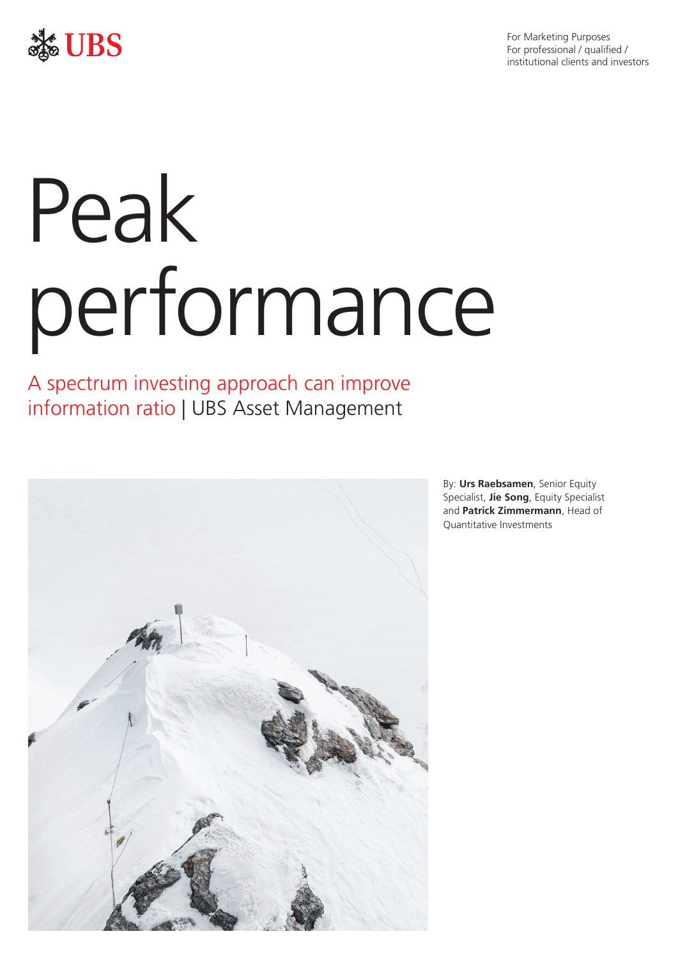For Marketing Purposes For professional / qualified / institutional clients and investors



# Peak performance

A spectrum investing approach can improve information ratio | UBS Asset Management



By: **Urs Raebsamen**, Senior Equity Specialist, **Jie Song**, Equity Specialist and **Patrick Zimmermann**, Head of Quantitative Investments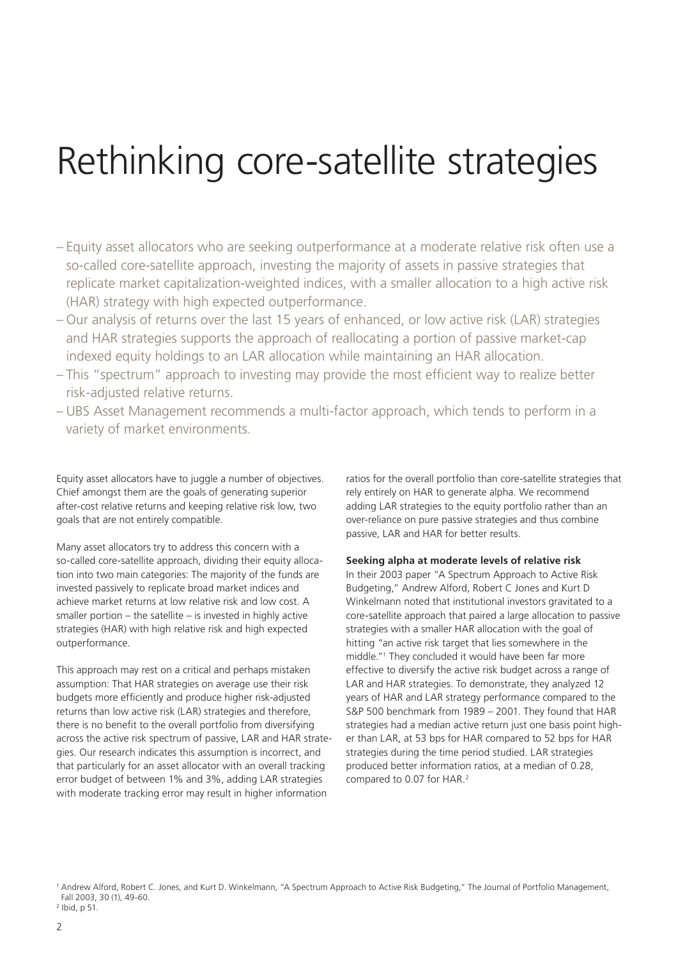# Rethinking core-satellite strategies

- Equity asset allocators who are seeking outperformance at a moderate relative risk often use a so-called core-satellite approach, investing the majority of assets in passive strategies that replicate market capitalization-weighted indices, with a smaller allocation to a high active risk (HAR) strategy with high expected outperformance.
- Our analysis of returns over the last 15 years of enhanced, or low active risk (LAR) strategies and HAR strategies supports the approach of reallocating a portion of passive market-cap indexed equity holdings to an LAR allocation while maintaining an HAR allocation.
- This "spectrum" approach to investing may provide the most efficient way to realize better risk-adjusted relative returns.
- UBS Asset Management recommends a multi-factor approach, which tends to perform in a variety of market environments.

Equity asset allocators have to juggle a number of objectives. Chief amongst them are the goals of generating superior after-cost relative returns and keeping relative risk low, two goals that are not entirely compatible.

Many asset allocators try to address this concern with a so-called core-satellite approach, dividing their equity allocation into two main categories: The majority of the funds are invested passively to replicate broad market indices and achieve market returns at low relative risk and low cost. A smaller portion – the satellite – is invested in highly active strategies (HAR) with high relative risk and high expected outperformance.

This approach may rest on a critical and perhaps mistaken assumption: That HAR strategies on average use their risk budgets more efficiently and produce higher risk-adjusted returns than low active risk (LAR) strategies and therefore, there is no benefit to the overall portfolio from diversifying across the active risk spectrum of passive, LAR and HAR strategies. Our research indicates this assumption is incorrect, and that particularly for an asset allocator with an overall tracking error budget of between 1% and 3%, adding LAR strategies with moderate tracking error may result in higher information

ratios for the overall portfolio than core-satellite strategies that rely entirely on HAR to generate alpha. We recommend adding LAR strategies to the equity portfolio rather than an over-reliance on pure passive strategies and thus combine passive, LAR and HAR for better results.

#### **Seeking alpha at moderate levels of relative risk**

In their 2003 paper "A Spectrum Approach to Active Risk Budgeting," Andrew Alford, Robert C Jones and Kurt D Winkelmann noted that institutional investors gravitated to a core-satellite approach that paired a large allocation to passive strategies with a smaller HAR allocation with the goal of hitting "an active risk target that lies somewhere in the middle."1 They concluded it would have been far more effective to diversify the active risk budget across a range of LAR and HAR strategies. To demonstrate, they analyzed 12 years of HAR and LAR strategy performance compared to the S&P 500 benchmark from 1989 – 2001. They found that HAR strategies had a median active return just one basis point higher than LAR, at 53 bps for HAR compared to 52 bps for HAR strategies during the time period studied. LAR strategies produced better information ratios, at a median of 0.28, compared to 0.07 for HAR.<sup>2</sup>

<sup>1</sup> Andrew Alford, Robert C. Jones, and Kurt D. Winkelmann, "A Spectrum Approach to Active Risk Budgeting," The Journal of Portfolio Management, Fall 2003, 30 (1), 49-60.

<sup>2</sup> Ibid, p 51.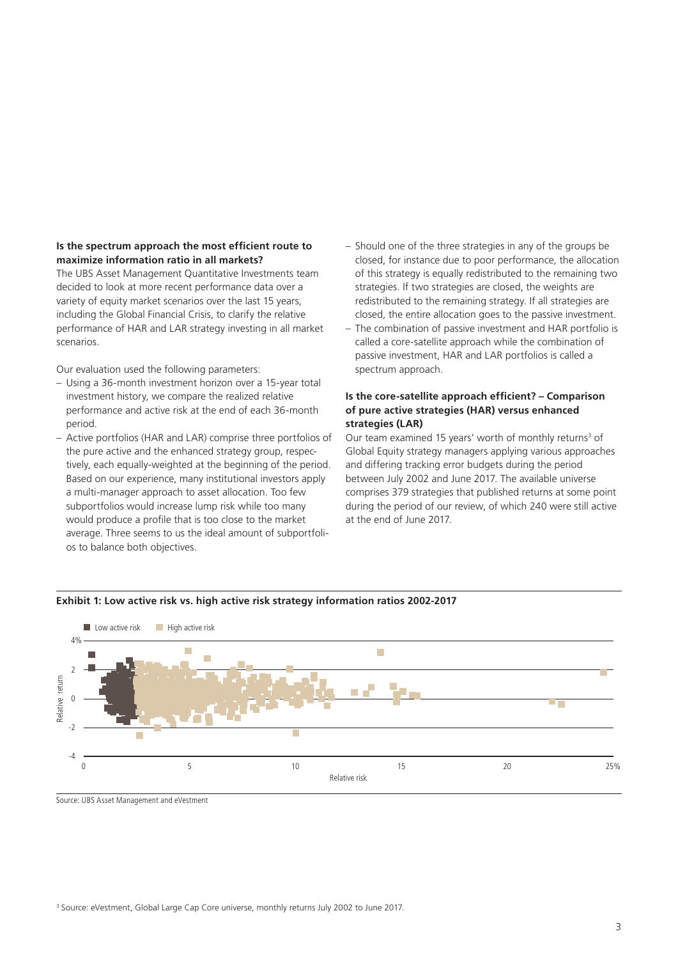# **Is the spectrum approach the most efficient route to maximize information ratio in all markets?**

The UBS Asset Management Quantitative Investments team decided to look at more recent performance data over a variety of equity market scenarios over the last 15 years, including the Global Financial Crisis, to clarify the relative performance of HAR and LAR strategy investing in all market scenarios.

Our evaluation used the following parameters:

- Using a 36-month investment horizon over a 15-year total investment history, we compare the realized relative performance and active risk at the end of each 36-month period.
- Active portfolios (HAR and LAR) comprise three portfolios of the pure active and the enhanced strategy group, respectively, each equally-weighted at the beginning of the period. Based on our experience, many institutional investors apply a multi-manager approach to asset allocation. Too few subportfolios would increase lump risk while too many would produce a profile that is too close to the market average. Three seems to us the ideal amount of subportfolios to balance both objectives.
- Should one of the three strategies in any of the groups be closed, for instance due to poor performance, the allocation of this strategy is equally redistributed to the remaining two strategies. If two strategies are closed, the weights are redistributed to the remaining strategy. If all strategies are closed, the entire allocation goes to the passive investment.
- The combination of passive investment and HAR portfolio is called a core-satellite approach while the combination of passive investment, HAR and LAR portfolios is called a spectrum approach.

#### **Is the core-satellite approach efficient? – Comparison of pure active strategies (HAR) versus enhanced strategies (LAR)**

Our team examined 15 years' worth of monthly returns<sup>3</sup> of Global Equity strategy managers applying various approaches and differing tracking error budgets during the period between July 2002 and June 2017. The available universe comprises 379 strategies that published returns at some point during the period of our review, of which 240 were still active at the end of June 2017.



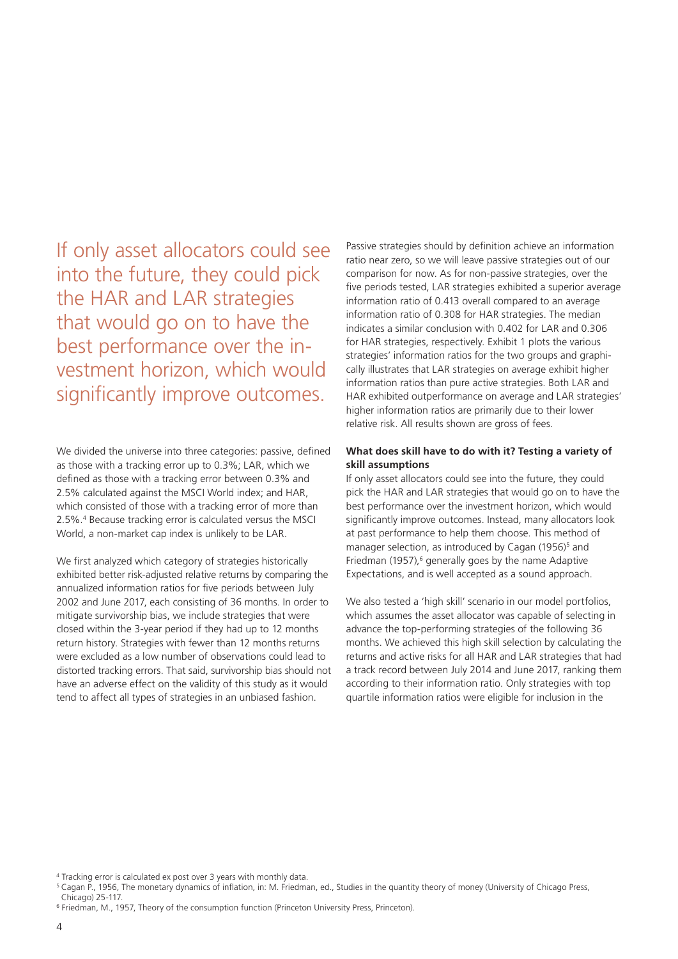If only asset allocators could see into the future, they could pick the HAR and LAR strategies that would go on to have the best performance over the investment horizon, which would significantly improve outcomes.

We divided the universe into three categories: passive, defined as those with a tracking error up to 0.3%; LAR, which we defined as those with a tracking error between 0.3% and 2.5% calculated against the MSCI World index; and HAR, which consisted of those with a tracking error of more than 2.5%.4 Because tracking error is calculated versus the MSCI World, a non-market cap index is unlikely to be LAR.

We first analyzed which category of strategies historically exhibited better risk-adjusted relative returns by comparing the annualized information ratios for five periods between July 2002 and June 2017, each consisting of 36 months. In order to mitigate survivorship bias, we include strategies that were closed within the 3-year period if they had up to 12 months return history. Strategies with fewer than 12 months returns were excluded as a low number of observations could lead to distorted tracking errors. That said, survivorship bias should not have an adverse effect on the validity of this study as it would tend to affect all types of strategies in an unbiased fashion.

Passive strategies should by definition achieve an information ratio near zero, so we will leave passive strategies out of our comparison for now. As for non-passive strategies, over the five periods tested, LAR strategies exhibited a superior average information ratio of 0.413 overall compared to an average information ratio of 0.308 for HAR strategies. The median indicates a similar conclusion with 0.402 for LAR and 0.306 for HAR strategies, respectively. Exhibit 1 plots the various strategies' information ratios for the two groups and graphically illustrates that LAR strategies on average exhibit higher information ratios than pure active strategies. Both LAR and HAR exhibited outperformance on average and LAR strategies' higher information ratios are primarily due to their lower relative risk. All results shown are gross of fees.

#### **What does skill have to do with it? Testing a variety of skill assumptions**

If only asset allocators could see into the future, they could pick the HAR and LAR strategies that would go on to have the best performance over the investment horizon, which would significantly improve outcomes. Instead, many allocators look at past performance to help them choose. This method of manager selection, as introduced by Cagan (1956)<sup>5</sup> and Friedman (1957),<sup>6</sup> generally goes by the name Adaptive Expectations, and is well accepted as a sound approach.

We also tested a 'high skill' scenario in our model portfolios, which assumes the asset allocator was capable of selecting in advance the top-performing strategies of the following 36 months. We achieved this high skill selection by calculating the returns and active risks for all HAR and LAR strategies that had a track record between July 2014 and June 2017, ranking them according to their information ratio. Only strategies with top quartile information ratios were eligible for inclusion in the

Chicago) 25-117

<sup>4</sup> Tracking error is calculated ex post over 3 years with monthly data.

<sup>5</sup> Cagan P., 1956, The monetary dynamics of inflation, in: M. Friedman, ed., Studies in the quantity theory of money (University of Chicago Press,

<sup>6</sup> Friedman, M., 1957, Theory of the consumption function (Princeton University Press, Princeton).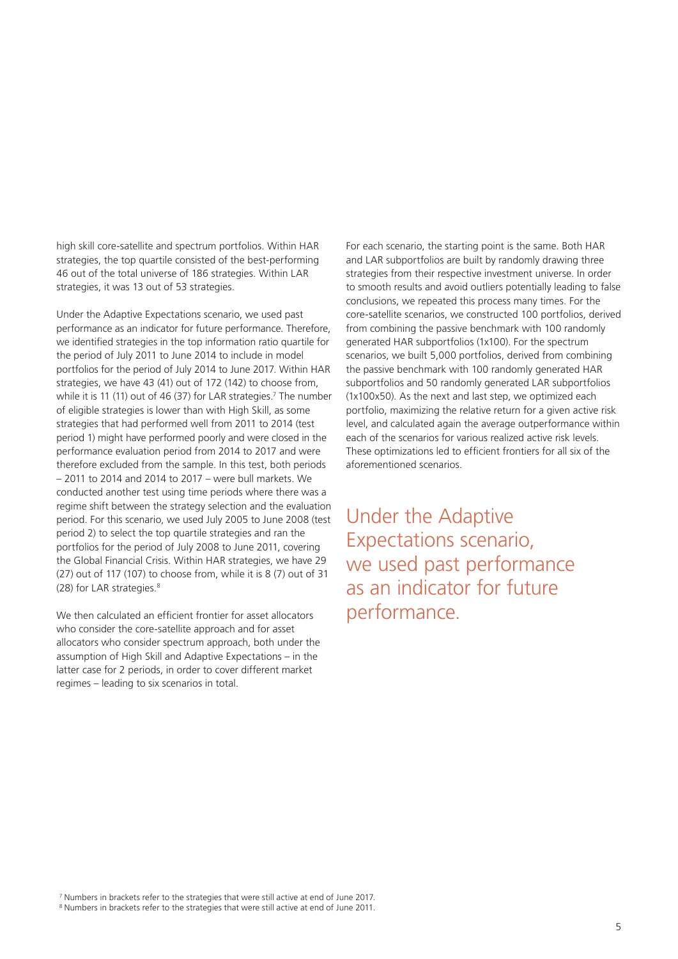high skill core-satellite and spectrum portfolios. Within HAR strategies, the top quartile consisted of the best-performing 46 out of the total universe of 186 strategies. Within LAR strategies, it was 13 out of 53 strategies.

Under the Adaptive Expectations scenario, we used past performance as an indicator for future performance. Therefore, we identified strategies in the top information ratio quartile for the period of July 2011 to June 2014 to include in model portfolios for the period of July 2014 to June 2017. Within HAR strategies, we have 43 (41) out of 172 (142) to choose from, while it is 11 (11) out of 46 (37) for LAR strategies.<sup>7</sup> The number of eligible strategies is lower than with High Skill, as some strategies that had performed well from 2011 to 2014 (test period 1) might have performed poorly and were closed in the performance evaluation period from 2014 to 2017 and were therefore excluded from the sample. In this test, both periods – 2011 to 2014 and 2014 to 2017 – were bull markets. We conducted another test using time periods where there was a regime shift between the strategy selection and the evaluation period. For this scenario, we used July 2005 to June 2008 (test period 2) to select the top quartile strategies and ran the portfolios for the period of July 2008 to June 2011, covering the Global Financial Crisis. Within HAR strategies, we have 29 (27) out of 117 (107) to choose from, while it is 8 (7) out of 31 (28) for LAR strategies.<sup>8</sup>

We then calculated an efficient frontier for asset allocators who consider the core-satellite approach and for asset allocators who consider spectrum approach, both under the assumption of High Skill and Adaptive Expectations – in the latter case for 2 periods, in order to cover different market regimes – leading to six scenarios in total.

For each scenario, the starting point is the same. Both HAR and LAR subportfolios are built by randomly drawing three strategies from their respective investment universe. In order to smooth results and avoid outliers potentially leading to false conclusions, we repeated this process many times. For the core-satellite scenarios, we constructed 100 portfolios, derived from combining the passive benchmark with 100 randomly generated HAR subportfolios (1x100). For the spectrum scenarios, we built 5,000 portfolios, derived from combining the passive benchmark with 100 randomly generated HAR subportfolios and 50 randomly generated LAR subportfolios (1x100x50). As the next and last step, we optimized each portfolio, maximizing the relative return for a given active risk level, and calculated again the average outperformance within each of the scenarios for various realized active risk levels. These optimizations led to efficient frontiers for all six of the aforementioned scenarios.

Under the Adaptive Expectations scenario, we used past performance as an indicator for future performance.

<sup>7</sup> Numbers in brackets refer to the strategies that were still active at end of June 2017. <sup>8</sup> Numbers in brackets refer to the strategies that were still active at end of June 2011.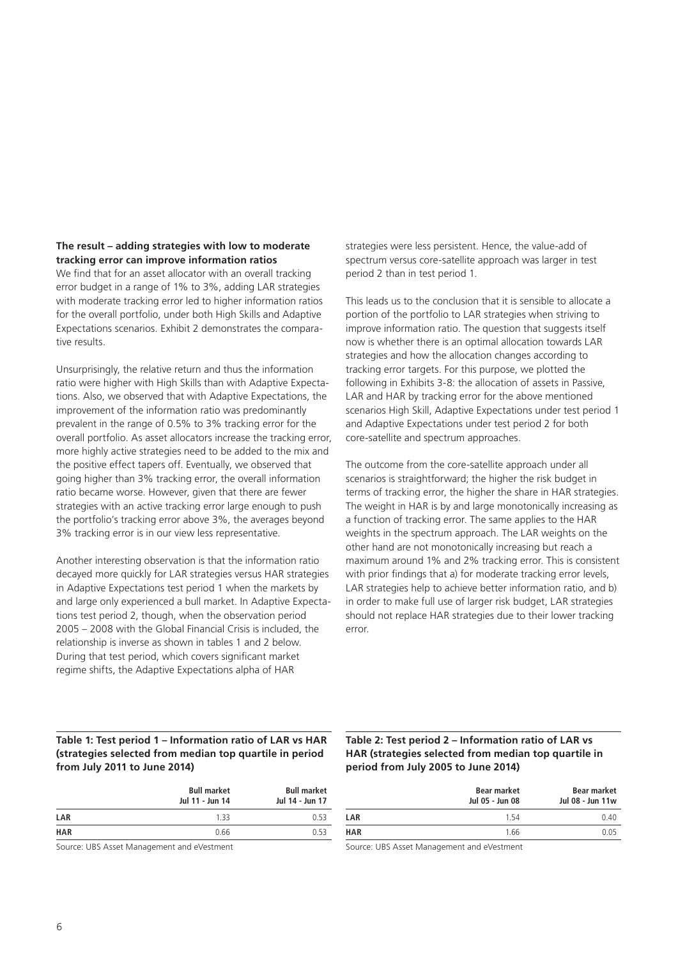# **The result – adding strategies with low to moderate tracking error can improve information ratios**

We find that for an asset allocator with an overall tracking error budget in a range of 1% to 3%, adding LAR strategies with moderate tracking error led to higher information ratios for the overall portfolio, under both High Skills and Adaptive Expectations scenarios. Exhibit 2 demonstrates the comparative results.

Unsurprisingly, the relative return and thus the information ratio were higher with High Skills than with Adaptive Expectations. Also, we observed that with Adaptive Expectations, the improvement of the information ratio was predominantly prevalent in the range of 0.5% to 3% tracking error for the overall portfolio. As asset allocators increase the tracking error, more highly active strategies need to be added to the mix and the positive effect tapers off. Eventually, we observed that going higher than 3% tracking error, the overall information ratio became worse. However, given that there are fewer strategies with an active tracking error large enough to push the portfolio's tracking error above 3%, the averages beyond 3% tracking error is in our view less representative.

Another interesting observation is that the information ratio decayed more quickly for LAR strategies versus HAR strategies in Adaptive Expectations test period 1 when the markets by and large only experienced a bull market. In Adaptive Expectations test period 2, though, when the observation period 2005 – 2008 with the Global Financial Crisis is included, the relationship is inverse as shown in tables 1 and 2 below. During that test period, which covers significant market regime shifts, the Adaptive Expectations alpha of HAR

strategies were less persistent. Hence, the value-add of spectrum versus core-satellite approach was larger in test period 2 than in test period 1.

This leads us to the conclusion that it is sensible to allocate a portion of the portfolio to LAR strategies when striving to improve information ratio. The question that suggests itself now is whether there is an optimal allocation towards LAR strategies and how the allocation changes according to tracking error targets. For this purpose, we plotted the following in Exhibits 3-8: the allocation of assets in Passive, LAR and HAR by tracking error for the above mentioned scenarios High Skill, Adaptive Expectations under test period 1 and Adaptive Expectations under test period 2 for both core-satellite and spectrum approaches.

The outcome from the core-satellite approach under all scenarios is straightforward; the higher the risk budget in terms of tracking error, the higher the share in HAR strategies. The weight in HAR is by and large monotonically increasing as a function of tracking error. The same applies to the HAR weights in the spectrum approach. The LAR weights on the other hand are not monotonically increasing but reach a maximum around 1% and 2% tracking error. This is consistent with prior findings that a) for moderate tracking error levels, LAR strategies help to achieve better information ratio, and b) in order to make full use of larger risk budget, LAR strategies should not replace HAR strategies due to their lower tracking error.

### **Table 1: Test period 1 – Information ratio of LAR vs HAR (strategies selected from median top quartile in period from July 2011 to June 2014)**

|            | <b>Bull market</b><br>Jul 11 - Jun 14 | <b>Bull market</b><br>Jul 14 - Jun 17 |
|------------|---------------------------------------|---------------------------------------|
| LAR        | 133                                   | 0.53                                  |
| <b>HAR</b> | 0.66                                  | 0.53                                  |
|            |                                       |                                       |

Source: UBS Asset Management and eVestment

# **Table 2: Test period 2 – Information ratio of LAR vs HAR (strategies selected from median top quartile in period from July 2005 to June 2014)**

| Bear market<br>Jul 05 - Jun 08 | Bear market<br>Jul 08 - Jun 11w |
|--------------------------------|---------------------------------|
| 154                            | 0.40                            |
| 1.66                           | 0.05                            |
|                                |                                 |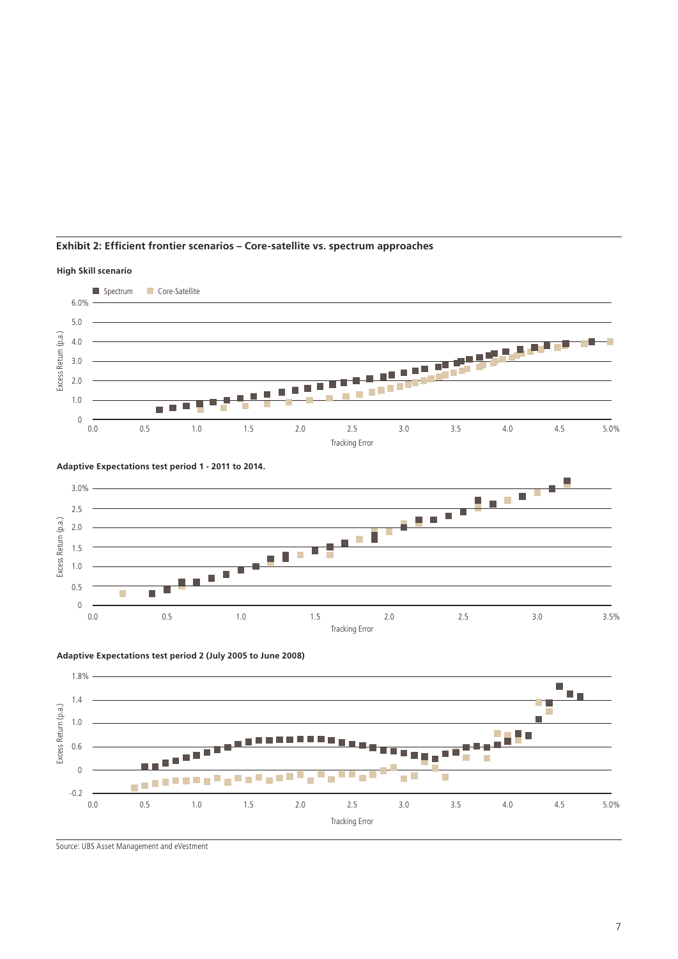

# **Exhibit 2: Efficient frontier scenarios – Core-satellite vs. spectrum approaches**



**Adaptive Expectations test period 2 (July 2005 to June 2008)**



Source: UBS Asset Management and eVestment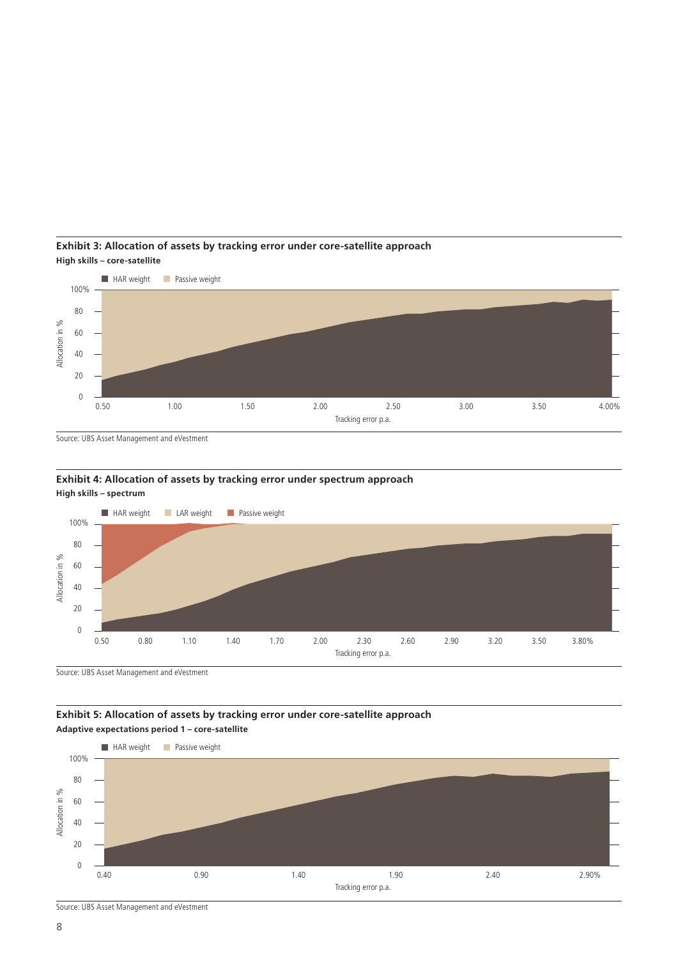

**Exhibit 3: Allocation of assets by tracking error under core-satellite approach High skills – core-satellite**

Source: UBS Asset Management and eVestment

#### **Exhibit 4: Allocation of assets by tracking error under spectrum approach High skills – spectrum**



Source: UBS Asset Management and eVestment

# **Exhibit 5: Allocation of assets by tracking error under core-satellite approach Adaptive expectations period 1 – core-satellite**



Source: UBS Asset Management and eVestment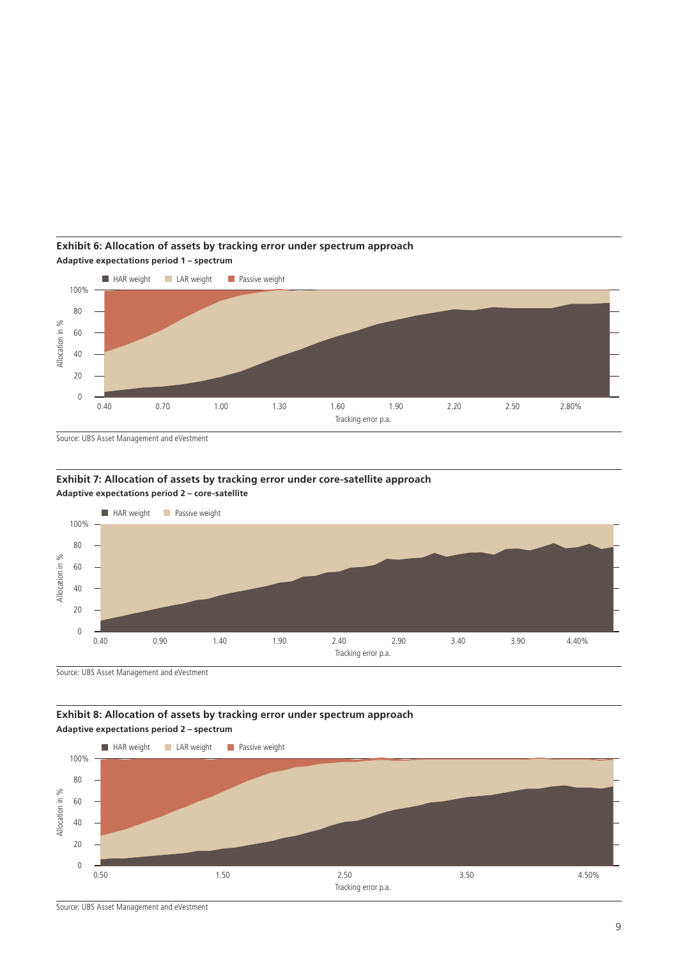

**Exhibit 6: Allocation of assets by tracking error under spectrum approach Adaptive expectations period 1 – spectrum**

Source: UBS Asset Management and eVestment

**Exhibit 7: Allocation of assets by tracking error under core-satellite approach Adaptive expectations period 2 – core-satellite**



Source: UBS Asset Management and eVestment

**Exhibit 8: Allocation of assets by tracking error under spectrum approach Adaptive expectations period 2 – spectrum**

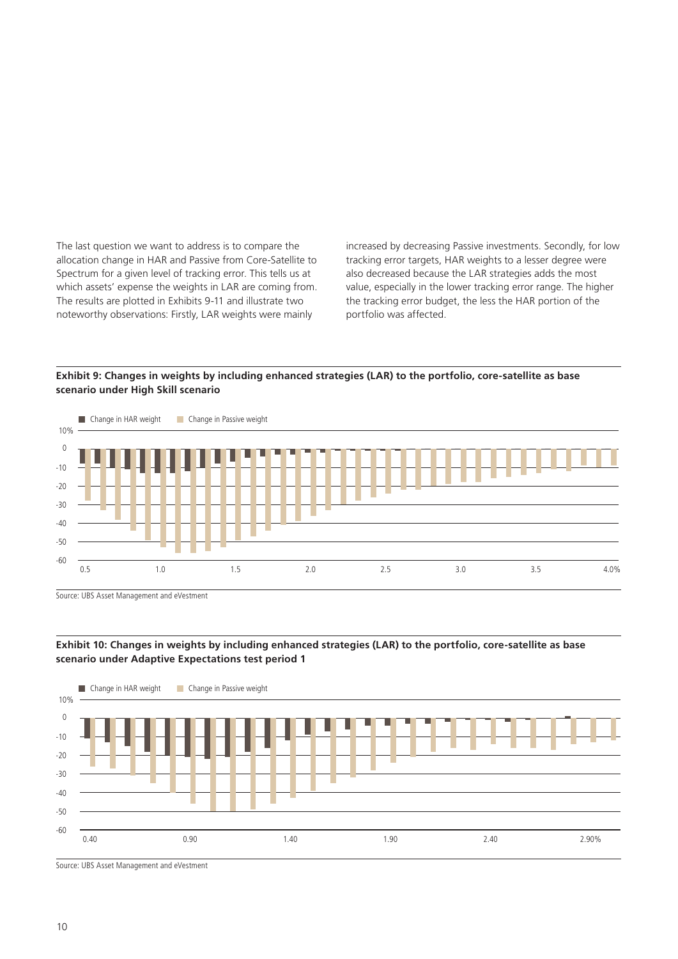The last question we want to address is to compare the allocation change in HAR and Passive from Core-Satellite to Spectrum for a given level of tracking error. This tells us at which assets' expense the weights in LAR are coming from. The results are plotted in Exhibits 9-11 and illustrate two noteworthy observations: Firstly, LAR weights were mainly

increased by decreasing Passive investments. Secondly, for low tracking error targets, HAR weights to a lesser degree were also decreased because the LAR strategies adds the most value, especially in the lower tracking error range. The higher the tracking error budget, the less the HAR portion of the portfolio was affected.

**Exhibit 9: Changes in weights by including enhanced strategies (LAR) to the portfolio, core-satellite as base scenario under High Skill scenario**







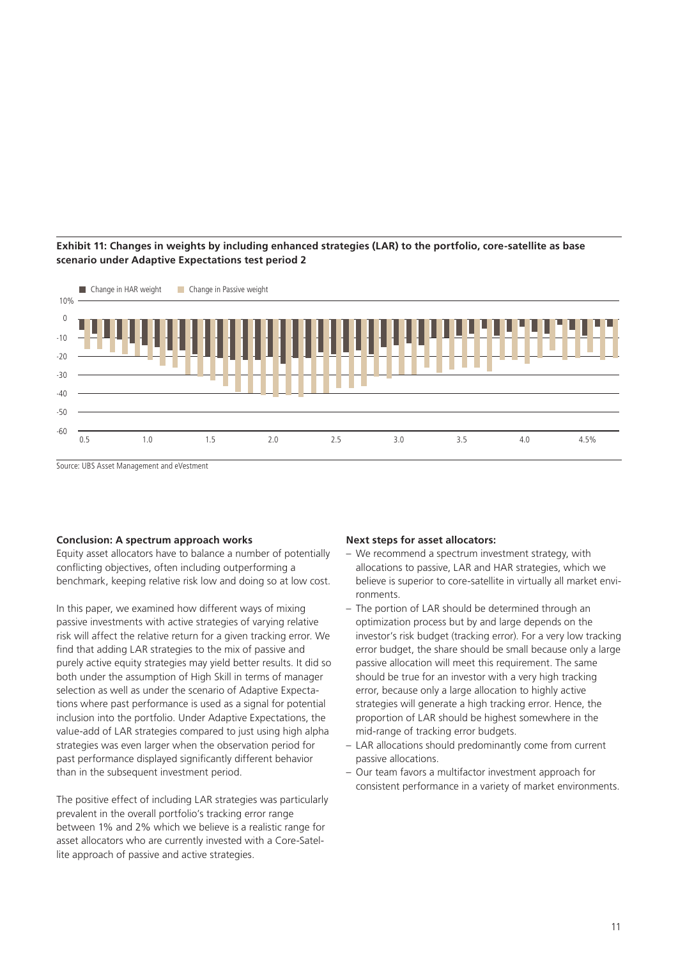# **Exhibit 11: Changes in weights by including enhanced strategies (LAR) to the portfolio, core-satellite as base scenario under Adaptive Expectations test period 2**



Source: UBS Asset Management and eVestment

#### **Conclusion: A spectrum approach works**

Equity asset allocators have to balance a number of potentially conflicting objectives, often including outperforming a benchmark, keeping relative risk low and doing so at low cost.

In this paper, we examined how different ways of mixing passive investments with active strategies of varying relative risk will affect the relative return for a given tracking error. We find that adding LAR strategies to the mix of passive and purely active equity strategies may yield better results. It did so both under the assumption of High Skill in terms of manager selection as well as under the scenario of Adaptive Expectations where past performance is used as a signal for potential inclusion into the portfolio. Under Adaptive Expectations, the value-add of LAR strategies compared to just using high alpha strategies was even larger when the observation period for past performance displayed significantly different behavior than in the subsequent investment period.

The positive effect of including LAR strategies was particularly prevalent in the overall portfolio's tracking error range between 1% and 2% which we believe is a realistic range for asset allocators who are currently invested with a Core-Satellite approach of passive and active strategies.

#### **Next steps for asset allocators:**

- We recommend a spectrum investment strategy, with allocations to passive, LAR and HAR strategies, which we believe is superior to core-satellite in virtually all market environments.
- The portion of LAR should be determined through an optimization process but by and large depends on the investor's risk budget (tracking error). For a very low tracking error budget, the share should be small because only a large passive allocation will meet this requirement. The same should be true for an investor with a very high tracking error, because only a large allocation to highly active strategies will generate a high tracking error. Hence, the proportion of LAR should be highest somewhere in the mid-range of tracking error budgets.
- LAR allocations should predominantly come from current passive allocations.
- Our team favors a multifactor investment approach for consistent performance in a variety of market environments.